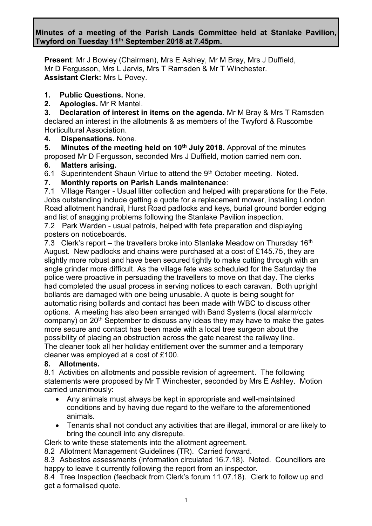**Minutes of a meeting of the Parish Lands Committee held at Stanlake Pavilion, Twyford on Tuesday 11th September 2018 at 7.45pm.**

**Present**: Mr J Bowley (Chairman), Mrs E Ashley, Mr M Bray, Mrs J Duffield, Mr D Fergusson, Mrs L Jarvis, Mrs T Ramsden & Mr T Winchester. **Assistant Clerk:** Mrs L Povey.

**1. Public Questions.** None.

**2. Apologies.** Mr R Mantel.

**3. Declaration of interest in items on the agenda.** Mr M Bray & Mrs T Ramsden declared an interest in the allotments & as members of the Twyford & Ruscombe Horticultural Association.

**4. Dispensations.** None.

**5. Minutes of the meeting held on 10th July 2018.** Approval of the minutes proposed Mr D Fergusson, seconded Mrs J Duffield, motion carried nem con.

## **6. Matters arising.**

6.1 Superintendent Shaun Virtue to attend the  $9<sup>th</sup>$  October meeting. Noted.

**7. Monthly reports on Parish Lands maintenance**:

7.1 Village Ranger - Usual litter collection and helped with preparations for the Fete. Jobs outstanding include getting a quote for a replacement mower, installing London Road allotment handrail, Hurst Road padlocks and keys, burial ground border edging and list of snagging problems following the Stanlake Pavilion inspection.

7.2 Park Warden - usual patrols, helped with fete preparation and displaying posters on noticeboards.

7.3 Clerk's report – the travellers broke into Stanlake Meadow on Thursday 16<sup>th</sup> August. New padlocks and chains were purchased at a cost of £145.75, they are slightly more robust and have been secured tightly to make cutting through with an angle grinder more difficult. As the village fete was scheduled for the Saturday the police were proactive in persuading the travellers to move on that day. The clerks had completed the usual process in serving notices to each caravan. Both upright bollards are damaged with one being unusable. A quote is being sought for automatic rising bollards and contact has been made with WBC to discuss other options. A meeting has also been arranged with Band Systems (local alarm/cctv company) on  $20<sup>th</sup>$  September to discuss any ideas they may have to make the gates more secure and contact has been made with a local tree surgeon about the possibility of placing an obstruction across the gate nearest the railway line. The cleaner took all her holiday entitlement over the summer and a temporary cleaner was employed at a cost of £100.

# **8. Allotments.**

8.1 Activities on allotments and possible revision of agreement. The following statements were proposed by Mr T Winchester, seconded by Mrs E Ashley. Motion carried unanimously:

- Any animals must always be kept in appropriate and well-maintained conditions and by having due regard to the welfare to the aforementioned animals.
- Tenants shall not conduct any activities that are illegal, immoral or are likely to bring the council into any disrepute.

Clerk to write these statements into the allotment agreement.

8.2 Allotment Management Guidelines (TR). Carried forward.

8.3 Asbestos assessments (information circulated 16.7.18). Noted. Councillors are happy to leave it currently following the report from an inspector.

8.4 Tree Inspection (feedback from Clerk's forum 11.07.18). Clerk to follow up and get a formalised quote.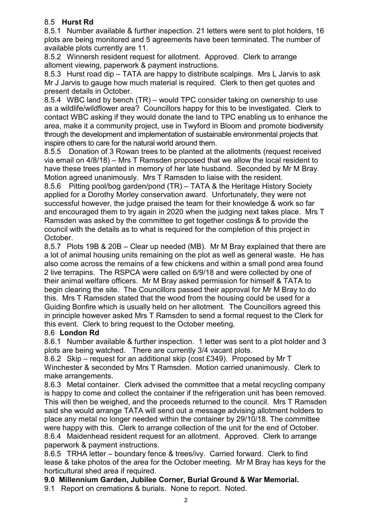## 8.5 **Hurst Rd**

8.5.1 Number available & further inspection. 21 letters were sent to plot holders, 16 plots are being monitored and 5 agreements have been terminated. The number of available plots currently are 11.

8.5.2 Winnersh resident request for allotment. Approved. Clerk to arrange alloment viewing, paperwork & payment instructions.

8.5.3 Hurst road dip – TATA are happy to distribute scalpings. Mrs L Jarvis to ask Mr J Jarvis to gauge how much material is required. Clerk to then get quotes and present details in October.

8.5.4 WBC land by bench (TR) – would TPC consider taking on ownership to use as a wildlife/wildflower area? Councillors happy for this to be investigated. Clerk to contact WBC asking if they would donate the land to TPC enabling us to enhance the area, make it a community project, use in Twyford in Bloom and promote biodiversity through the development and implementation of sustainable environmental projects that inspire others to care for the natural world around them.

8.5.5 Donation of 3 Rowan trees to be planted at the allotments (request received via email on 4/8/18) – Mrs T Ramsden proposed that we allow the local resident to have these trees planted in memory of her late husband. Seconded by Mr M Bray. Motion agreed unanimously. Mrs T Ramsden to liaise with the resident.

8.5.6 Pitting pool/bog garden/pond (TR) – TATA & the Heritage History Society applied for a Dorothy Morley conservation award. Unfortunately, they were not successful however, the judge praised the team for their knowledge & work so far and encouraged them to try again in 2020 when the judging next takes place. Mrs T Ramsden was asked by the committee to get together costings & to provide the council with the details as to what is required for the completion of this project in October.

8.5.7 Plots 19B & 20B – Clear up needed (MB). Mr M Bray explained that there are a lot of animal housing units remaining on the plot as well as general waste. He has also come across the remains of a few chickens and within a small pond area found 2 live terrapins. The RSPCA were called on 6/9/18 and were collected by one of their animal welfare officers. Mr M Bray asked permission for himself & TATA to begin clearing the site. The Councillors passed their approval for Mr M Bray to do this. Mrs T Ramsden stated that the wood from the housing could be used for a Guiding Bonfire which is usually held on her allotment. The Councillors agreed this in principle however asked Mrs T Ramsden to send a formal request to the Clerk for this event. Clerk to bring request to the October meeting.

# 8.6 **London Rd**

8.6.1 Number available & further inspection. 1 letter was sent to a plot holder and 3 plots are being watched. There are currently 3/4 vacant plots.

8.6.2 Skip – request for an additional skip (cost £349). Proposed by Mr T Winchester & seconded by Mrs T Ramsden. Motion carried unanimously. Clerk to make arrangements.

8.6.3 Metal container. Clerk advised the committee that a metal recycling company is happy to come and collect the container if the refrigeration unit has been removed. This will then be weighed, and the proceeds returned to the council. Mrs T Ramsden said she would arrange TATA will send out a message advising allotment holders to place any metal no longer needed within the container by 29/10/18. The committee were happy with this. Clerk to arrange collection of the unit for the end of October. 8.6.4 Maidenhead resident request for an allotment. Approved. Clerk to arrange paperwork & payment instructions.

8.6.5 TRHA letter – boundary fence & trees/ivy. Carried forward. Clerk to find lease & take photos of the area for the October meeting. Mr M Bray has keys for the horticultural shed area if required.

### **9.0 Millennium Garden, Jubilee Corner, Burial Ground & War Memorial.**

9.1 Report on cremations & burials. None to report. Noted.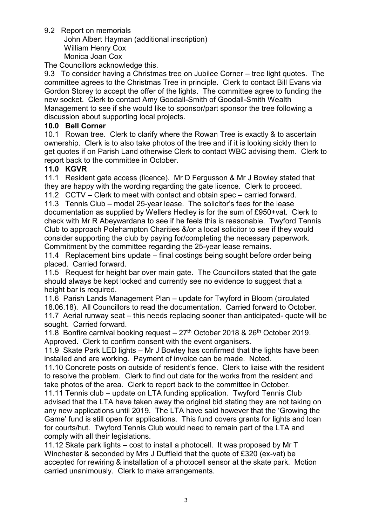9.2 Report on memorials

John Albert Hayman (additional inscription) William Henry Cox Monica Joan Cox

The Councillors acknowledge this.

9.3 To consider having a Christmas tree on Jubilee Corner – tree light quotes. The committee agrees to the Christmas Tree in principle. Clerk to contact Bill Evans via Gordon Storey to accept the offer of the lights. The committee agree to funding the new socket. Clerk to contact Amy Goodall-Smith of Goodall-Smith Wealth Management to see if she would like to sponsor/part sponsor the tree following a discussion about supporting local projects.

#### **10.0 Bell Corner**

10.1 Rowan tree. Clerk to clarify where the Rowan Tree is exactly & to ascertain ownership. Clerk is to also take photos of the tree and if it is looking sickly then to get quotes if on Parish Land otherwise Clerk to contact WBC advising them. Clerk to report back to the committee in October.

#### **11.0 KGVR**

11.1 Resident gate access (licence). Mr D Fergusson & Mr J Bowley stated that they are happy with the wording regarding the gate licence. Clerk to proceed.

11.2 CCTV – Clerk to meet with contact and obtain spec – carried forward.

11.3 Tennis Club – model 25-year lease. The solicitor's fees for the lease documentation as supplied by Wellers Hedley is for the sum of £950+vat. Clerk to check with Mr R Abeywardana to see if he feels this is reasonable. Twyford Tennis Club to approach Polehampton Charities &/or a local solicitor to see if they would consider supporting the club by paying for/completing the necessary paperwork. Commitment by the committee regarding the 25-year lease remains.

11.4 Replacement bins update – final costings being sought before order being placed. Carried forward.

11.5 Request for height bar over main gate. The Councillors stated that the gate should always be kept locked and currently see no evidence to suggest that a height bar is required.

11.6 Parish Lands Management Plan – update for Twyford in Bloom (circulated 18.06.18). All Councillors to read the documentation. Carried forward to October. 11.7 Aerial runway seat – this needs replacing sooner than anticipated- quote will be sought. Carried forward.

11.8 Bonfire carnival booking request  $-27<sup>th</sup>$  October 2018 & 26<sup>th</sup> October 2019. Approved. Clerk to confirm consent with the event organisers.

11.9 Skate Park LED lights – Mr J Bowley has confirmed that the lights have been installed and are working. Payment of invoice can be made. Noted.

11.10 Concrete posts on outside of resident's fence. Clerk to liaise with the resident to resolve the problem. Clerk to find out date for the works from the resident and take photos of the area. Clerk to report back to the committee in October.

11.11 Tennis club – update on LTA funding application. Twyford Tennis Club advised that the LTA have taken away the original bid stating they are not taking on any new applications until 2019. The LTA have said however that the 'Growing the Game' fund is still open for applications. This fund covers grants for lights and loan for courts/hut. Twyford Tennis Club would need to remain part of the LTA and comply with all their legislations.

11.12 Skate park lights – cost to install a photocell. It was proposed by Mr T Winchester & seconded by Mrs J Duffield that the quote of £320 (ex-vat) be accepted for rewiring & installation of a photocell sensor at the skate park. Motion carried unanimously. Clerk to make arrangements.